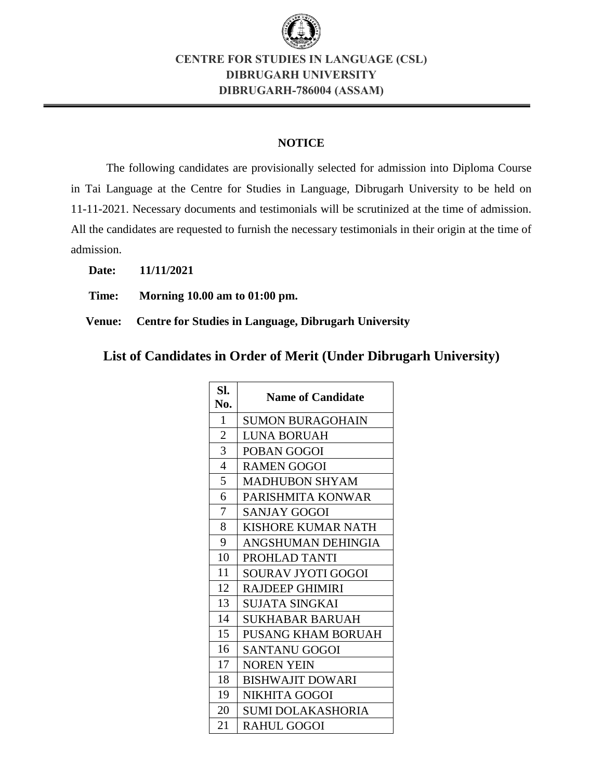

# **CENTRE FOR STUDIES IN LANGUAGE (CSL) DIBRUGARH UNIVERSITY DIBRUGARH-786004 (ASSAM)**

### **NOTICE**

The following candidates are provisionally selected for admission into Diploma Course in Tai Language at the Centre for Studies in Language, Dibrugarh University to be held on 11-11-2021. Necessary documents and testimonials will be scrutinized at the time of admission. All the candidates are requested to furnish the necessary testimonials in their origin at the time of admission.

**Date: 11/11/2021**

**Time: Morning 10.00 am to 01:00 pm.**

**Venue: Centre for Studies in Language, Dibrugarh University**

.**List of Candidates in Order of Merit (Under Dibrugarh University)**

| Sl.<br>No.     | <b>Name of Candidate</b>  |
|----------------|---------------------------|
| 1              | <b>SUMON BURAGOHAIN</b>   |
| $\overline{2}$ | <b>LUNA BORUAH</b>        |
| 3              | POBAN GOGOI               |
| 4              | <b>RAMEN GOGOI</b>        |
| 5              | <b>MADHUBON SHYAM</b>     |
| 6              | PARISHMITA KONWAR         |
| 7              | SANJAY GOGOI              |
| 8              | <b>KISHORE KUMAR NATH</b> |
| 9              | ANGSHUMAN DEHINGIA        |
| 10             | PROHLAD TANTI             |
| 11             | <b>SOURAV JYOTI GOGOI</b> |
| 12             | <b>RAJDEEP GHIMIRI</b>    |
| 13             | <b>SUJATA SINGKAI</b>     |
| 14             | SUKHABAR BARUAH           |
| 15             | <b>PUSANG KHAM BORUAH</b> |
| 16             | <b>SANTANU GOGOI</b>      |
| 17             | <b>NOREN YEIN</b>         |
| 18             | <b>BISHWAJIT DOWARI</b>   |
| 19             | NIKHITA GOGOI             |
| 20             | <b>SUMI DOLAKASHORIA</b>  |
| 21             | <b>RAHUL GOGOI</b>        |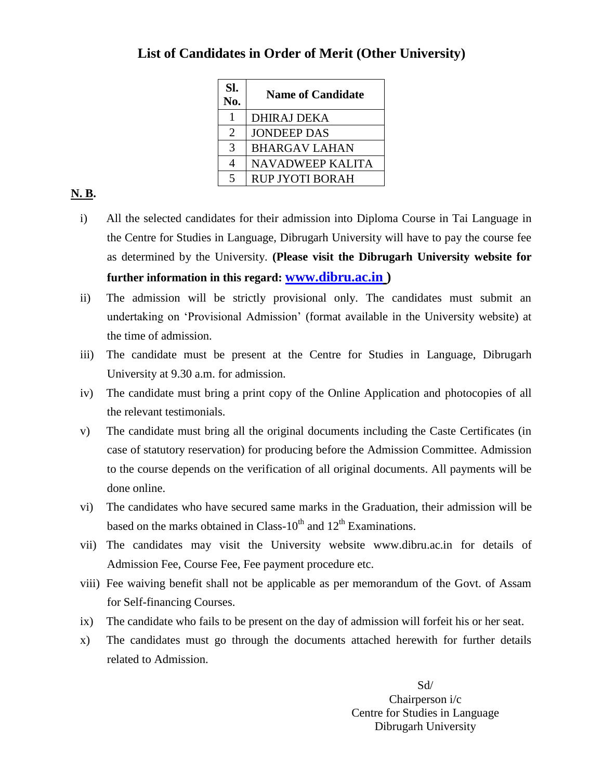| SI.<br>No.               | <b>Name of Candidate</b> |
|--------------------------|--------------------------|
|                          | <b>DHIRAJ DEKA</b>       |
| $\overline{2}$           | <b>JONDEEP DAS</b>       |
| 3                        | <b>BHARGAV LAHAN</b>     |
| 4                        | <b>NAVADWEEP KALITA</b>  |
| $\overline{\mathcal{L}}$ | <b>RUP JYOTI BORAH</b>   |

## . **List of Candidates in Order of Merit (Other University)**

### **N. B.**

- i) All the selected candidates for their admission into Diploma Course in Tai Language in the Centre for Studies in Language, Dibrugarh University will have to pay the course fee as determined by the University. **(Please visit the Dibrugarh University website for further information in this regard: [www.dibru.ac.in](http://www.dibru.ac.in/) )**
- ii) The admission will be strictly provisional only. The candidates must submit an undertaking on 'Provisional Admission' (format available in the University website) at the time of admission.
- iii) The candidate must be present at the Centre for Studies in Language, Dibrugarh University at 9.30 a.m. for admission.
- iv) The candidate must bring a print copy of the Online Application and photocopies of all the relevant testimonials.
- v) The candidate must bring all the original documents including the Caste Certificates (in case of statutory reservation) for producing before the Admission Committee. Admission to the course depends on the verification of all original documents. All payments will be done online.
- vi) The candidates who have secured same marks in the Graduation, their admission will be based on the marks obtained in Class- $10^{th}$  and  $12^{th}$  Examinations.
- vii) The candidates may visit the University website www.dibru.ac.in for details of Admission Fee, Course Fee, Fee payment procedure etc.
- viii) Fee waiving benefit shall not be applicable as per memorandum of the Govt. of Assam for Self-financing Courses.
- ix) The candidate who fails to be present on the day of admission will forfeit his or her seat.
- x) The candidates must go through the documents attached herewith for further details related to Admission.

Sd/ Chairperson i/c Centre for Studies in Language Dibrugarh University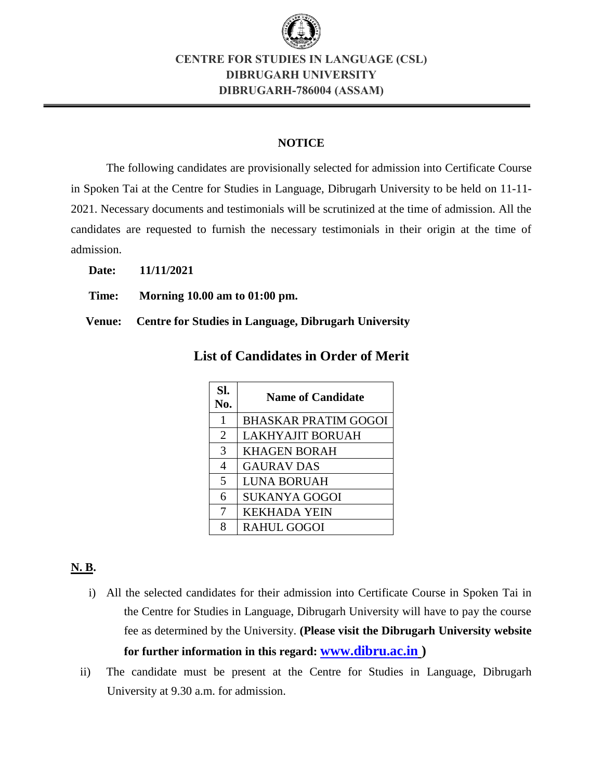

# **CENTRE FOR STUDIES IN LANGUAGE (CSL) DIBRUGARH UNIVERSITY DIBRUGARH-786004 (ASSAM)**

#### **NOTICE**

The following candidates are provisionally selected for admission into Certificate Course in Spoken Tai at the Centre for Studies in Language, Dibrugarh University to be held on 11-11- 2021. Necessary documents and testimonials will be scrutinized at the time of admission. All the candidates are requested to furnish the necessary testimonials in their origin at the time of admission.

**Date: 11/11/2021**

**Time: Morning 10.00 am to 01:00 pm.**

**Venue: Centre for Studies in Language, Dibrugarh University**

| SI.<br>No.     | <b>Name of Candidate</b>    |
|----------------|-----------------------------|
| 1              | <b>BHASKAR PRATIM GOGOI</b> |
| $\overline{2}$ | <b>LAKHYAJIT BORUAH</b>     |
| 3              | <b>KHAGEN BORAH</b>         |
| 4              | <b>GAURAV DAS</b>           |
| 5              | <b>LUNA BORUAH</b>          |
| 6              | <b>SUKANYA GOGOI</b>        |
| 7              | <b>KEKHADA YEIN</b>         |
| 8              | <b>RAHUL GOGOI</b>          |

. **List of Candidates in Order of Merit**

### **N. B.**

- i) All the selected candidates for their admission into Certificate Course in Spoken Tai in the Centre for Studies in Language, Dibrugarh University will have to pay the course fee as determined by the University. **(Please visit the Dibrugarh University website for further information in this regard: [www.dibru.ac.in](http://www.dibru.ac.in/) )**
- ii) The candidate must be present at the Centre for Studies in Language, Dibrugarh University at 9.30 a.m. for admission.